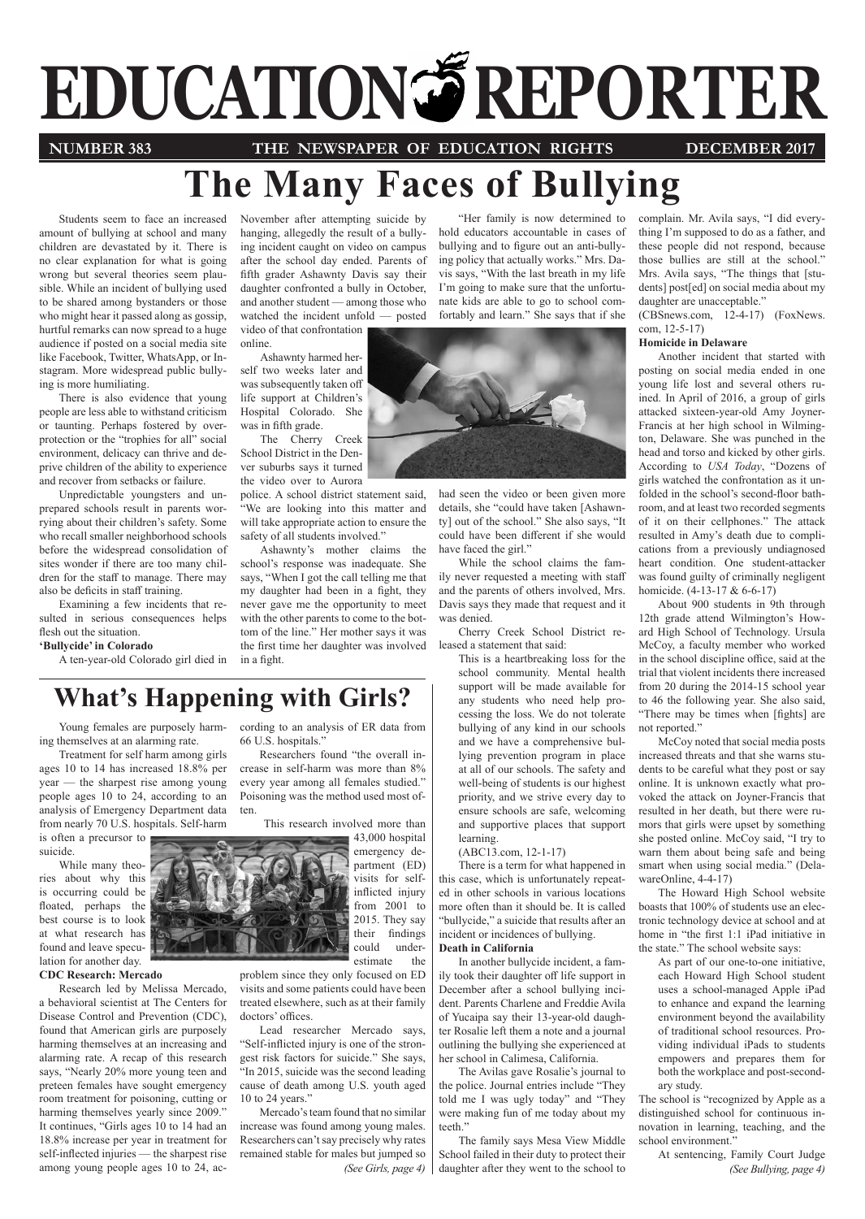# **EDUCATION SERPORTER**

**NUMBER 383 THE NEWSPAPER OF EDUCATION RIGHTS DECEMBER 2017**

# **The Many Faces of Bullying**

Students seem to face an increased amount of bullying at school and many children are devastated by it. There is no clear explanation for what is going wrong but several theories seem plausible. While an incident of bullying used to be shared among bystanders or those who might hear it passed along as gossip, hurtful remarks can now spread to a huge audience if posted on a social media site like Facebook, Twitter, WhatsApp, or Instagram. More widespread public bullying is more humiliating.

There is also evidence that young people are less able to withstand criticism or taunting. Perhaps fostered by overprotection or the "trophies for all" social environment, delicacy can thrive and deprive children of the ability to experience and recover from setbacks or failure.

Unpredictable youngsters and unprepared schools result in parents worrying about their children's safety. Some who recall smaller neighborhood schools before the widespread consolidation of sites wonder if there are too many children for the staff to manage. There may also be deficits in staff training.

Examining a few incidents that resulted in serious consequences helps flesh out the situation.

**'Bullycide' in Colorado** 

A ten-year-old Colorado girl died in

November after attempting suicide by hanging, allegedly the result of a bullying incident caught on video on campus after the school day ended. Parents of fifth grader Ashawnty Davis say their daughter confronted a bully in October, and another student — among those who watched the incident unfold — posted video of that confrontation

online. Ashawnty harmed herself two weeks later and

was subsequently taken off life support at Children's Hospital Colorado. She was in fifth grade.

The Cherry Creek School District in the Denver suburbs says it turned the video over to Aurora

police. A school district statement said, "We are looking into this matter and will take appropriate action to ensure the safety of all students involved."

Ashawnty's mother claims the school's response was inadequate. She says, "When I got the call telling me that my daughter had been in a fight, they never gave me the opportunity to meet with the other parents to come to the bottom of the line." Her mother says it was the first time her daughter was involved in a fight.

cording to an analysis of ER data from

Researchers found "the overall increase in self-harm was more than 8% every year among all females studied." Poisoning was the method used most of-

66 U.S. hospitals."

"Her family is now determined to hold educators accountable in cases of bullying and to figure out an anti-bullying policy that actually works." Mrs. Davis says, "With the last breath in my life I'm going to make sure that the unfortunate kids are able to go to school comfortably and learn." She says that if she



had seen the video or been given more details, she "could have taken [Ashawnty] out of the school." She also says, "It could have been different if she would have faced the girl."

While the school claims the family never requested a meeting with staff and the parents of others involved, Mrs. Davis says they made that request and it was denied.

Cherry Creek School District released a statement that said:

This is a heartbreaking loss for the school community. Mental health support will be made available for any students who need help processing the loss. We do not tolerate bullying of any kind in our schools and we have a comprehensive bullying prevention program in place at all of our schools. The safety and well-being of students is our highest priority, and we strive every day to ensure schools are safe, welcoming and supportive places that support learning.

(ABC13.com, 12-1-17)

There is a term for what happened in this case, which is unfortunately repeated in other schools in various locations more often than it should be. It is called "bullycide," a suicide that results after an incident or incidences of bullying. **Death in California** 

In another bullycide incident, a family took their daughter off life support in December after a school bullying incident. Parents Charlene and Freddie Avila of Yucaipa say their 13-year-old daughter Rosalie left them a note and a journal outlining the bullying she experienced at her school in Calimesa, California.

The Avilas gave Rosalie's journal to the police. Journal entries include "They told me I was ugly today" and "They were making fun of me today about my teeth."

The family says Mesa View Middle School failed in their duty to protect their daughter after they went to the school to

complain. Mr. Avila says, "I did everything I'm supposed to do as a father, and these people did not respond, because those bullies are still at the school." Mrs. Avila says, "The things that [students] post[ed] on social media about my daughter are unacceptable."

(CBSnews.com, 12-4-17) (FoxNews. com, 12-5-17)

## **Homicide in Delaware**

Another incident that started with posting on social media ended in one young life lost and several others ruined. In April of 2016, a group of girls attacked sixteen-year-old Amy Joyner-Francis at her high school in Wilmington, Delaware. She was punched in the head and torso and kicked by other girls. According to *USA Today*, "Dozens of girls watched the confrontation as it unfolded in the school's second-floor bathroom, and at least two recorded segments of it on their cellphones." The attack resulted in Amy's death due to complications from a previously undiagnosed heart condition. One student-attacker was found guilty of criminally negligent homicide. (4-13-17 & 6-6-17)

About 900 students in 9th through 12th grade attend Wilmington's Howard High School of Technology. Ursula McCoy, a faculty member who worked in the school discipline office, said at the trial that violent incidents there increased from 20 during the 2014-15 school year to 46 the following year. She also said, "There may be times when [fights] are not reported."

McCoy noted that social media posts increased threats and that she warns students to be careful what they post or say online. It is unknown exactly what provoked the attack on Joyner-Francis that resulted in her death, but there were rumors that girls were upset by something she posted online. McCoy said, "I try to warn them about being safe and being smart when using social media." (DelawareOnline, 4-4-17)

The Howard High School website boasts that 100% of students use an electronic technology device at school and at home in "the first 1:1 iPad initiative in the state." The school website says:

As part of our one-to-one initiative, each Howard High School student uses a school-managed Apple iPad to enhance and expand the learning environment beyond the availability of traditional school resources. Providing individual iPads to students empowers and prepares them for both the workplace and post-secondary study.

The school is "recognized by Apple as a distinguished school for continuous innovation in learning, teaching, and the school environment."

*(See Bullying, page 4)* At sentencing, Family Court Judge

# **What's Happening with Girls?**

Young females are purposely harming themselves at an alarming rate.

Treatment for self harm among girls ages 10 to 14 has increased 18.8% per year — the sharpest rise among young people ages 10 to 24, according to an analysis of Emergency Department data from nearly 70 U.S. hospitals. Self-harm

is often a precursor to suicide.

While many theories about why this is occurring could be floated, perhaps the best course is to look at what research has found and leave speculation for another day.

## **CDC Research: Mercado**

Research led by Melissa Mercado, a behavioral scientist at The Centers for Disease Control and Prevention (CDC), found that American girls are purposely harming themselves at an increasing and alarming rate. A recap of this research says, "Nearly 20% more young teen and preteen females have sought emergency room treatment for poisoning, cutting or harming themselves yearly since 2009." It continues, "Girls ages 10 to 14 had an 18.8% increase per year in treatment for self-inflected injuries — the sharpest rise among young people ages 10 to 24, ac-



ten.

43,000 hospital emergency department (ED) visits for selfinflicted injury from 2001 to 2015. They say their findings

> could underestimate the

problem since they only focused on ED visits and some patients could have been treated elsewhere, such as at their family doctors' offices.

Lead researcher Mercado says, "Self-inflicted injury is one of the strongest risk factors for suicide." She says, "In 2015, suicide was the second leading cause of death among U.S. youth aged 10 to 24 years."

*(See Girls, page 4)* Mercado's team found that no similar increase was found among young males. Researchers can't say precisely why rates remained stable for males but jumped so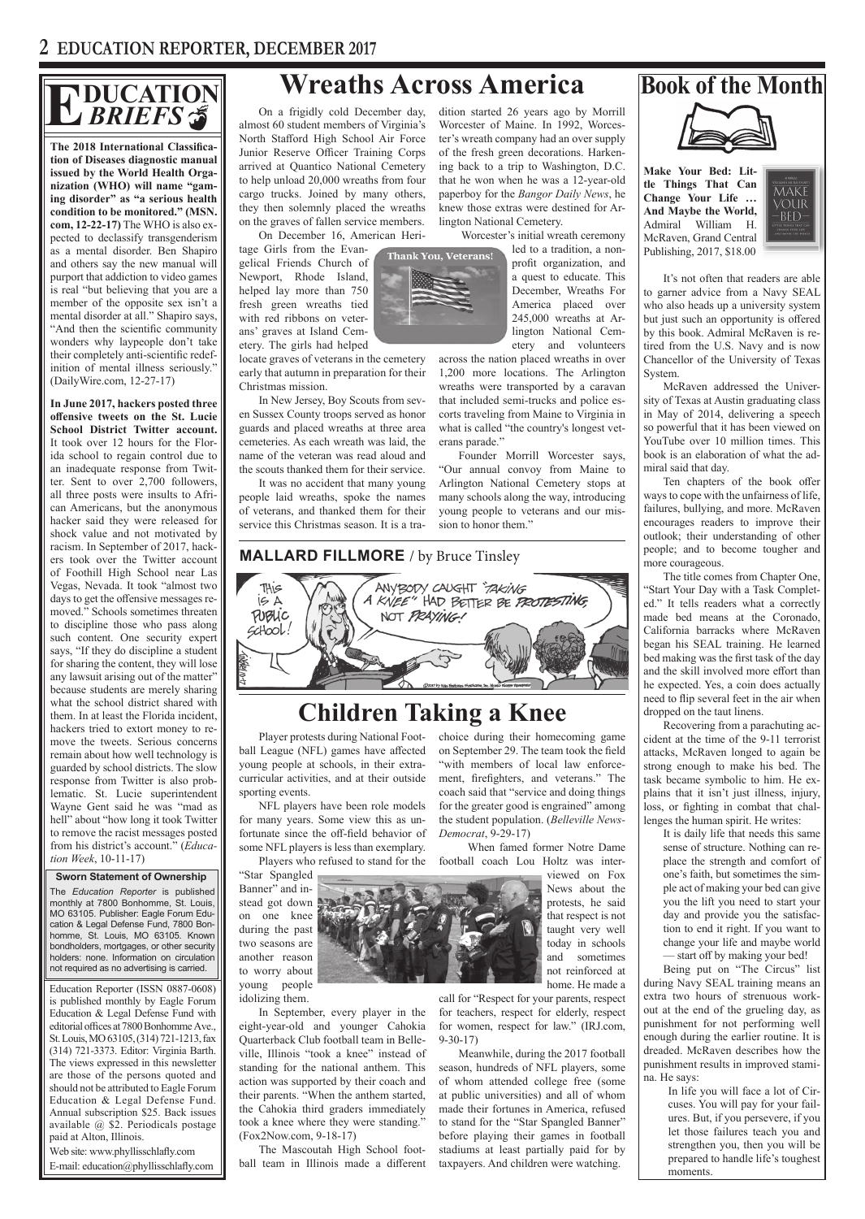## **DUCATION** *BRIEFS* **EXAMPLE IS SOUTHERS** THE Stafford High School Air Ecros Are the energy Morrill Month Stafford High School Air Ecros and the energy and the Month of the Month of the Month of Virginia is Worcester of Maine. In 1992, Worces

**The 2018 International Classification of Diseases diagnostic manual issued by the World Health Organization (WHO) will name "gaming disorder" as "a serious health condition to be monitored." (MSN. com, 12-22-17)** The WHO is also expected to declassify transgenderism as a mental disorder. Ben Shapiro and others say the new manual will purport that addiction to video games is real "but believing that you are a member of the opposite sex isn't a mental disorder at all." Shapiro says, "And then the scientific community wonders why laypeople don't take their completely anti-scientific redefinition of mental illness seriously." (DailyWire.com, 12-27-17)

**In June 2017, hackers posted three offensive tweets on the St. Lucie School District Twitter account.**  It took over 12 hours for the Florida school to regain control due to an inadequate response from Twitter. Sent to over 2,700 followers, all three posts were insults to African Americans, but the anonymous hacker said they were released for shock value and not motivated by racism. In September of 2017, hackers took over the Twitter account of Foothill High School near Las Vegas, Nevada. It took "almost two days to get the offensive messages removed." Schools sometimes threaten to discipline those who pass along such content. One security expert says, "If they do discipline a student for sharing the content, they will lose any lawsuit arising out of the matter" because students are merely sharing what the school district shared with them. In at least the Florida incident, hackers tried to extort money to remove the tweets. Serious concerns remain about how well technology is guarded by school districts. The slow response from Twitter is also problematic. St. Lucie superintendent Wayne Gent said he was "mad as hell" about "how long it took Twitter to remove the racist messages posted from his district's account." (*Education Week*, 10-11-17)

### **Sworn Statement of Ownership**

The *Education Reporter* is published monthly at 7800 Bonhomme, St. Louis, MO 63105. Publisher: Eagle Forum Education & Legal Defense Fund, 7800 Bonhomme, St. Louis, MO 63105. Known bondholders, mortgages, or other security holders: none. Information on circulation not required as no advertising is carried.

Education Reporter (ISSN 0887-0608) is published monthly by Eagle Forum Education & Legal Defense Fund with editorial offices at 7800 Bonhomme Ave., St. Louis, MO 63105, (314) 721-1213, fax (314) 721-3373. Editor: Virginia Barth. The views expressed in this newsletter are those of the persons quoted and should not be attributed to Eagle Forum Education & Legal Defense Fund. Annual subscription \$25. Back issues available @ \$2. Periodicals postage paid at Alton, Illinois.

Web site: www.phyllisschlafly.com E-mail: education@phyllisschlafly.com

**Thank You, Veterans!** 

On a frigidly cold December day, almost 60 student members of Virginia's North Stafford High School Air Force Junior Reserve Officer Training Corps arrived at Quantico National Cemetery to help unload 20,000 wreaths from four cargo trucks. Joined by many others, they then solemnly placed the wreaths on the graves of fallen service members.

On December 16, American Heri-

tage Girls from the Evangelical Friends Church of Newport, Rhode Island, helped lay more than 750 fresh green wreaths tied with red ribbons on veterans' graves at Island Cemetery. The girls had helped

locate graves of veterans in the cemetery early that autumn in preparation for their Christmas mission.

In New Jersey, Boy Scouts from seven Sussex County troops served as honor guards and placed wreaths at three area cemeteries. As each wreath was laid, the name of the veteran was read aloud and the scouts thanked them for their service.

It was no accident that many young people laid wreaths, spoke the names of veterans, and thanked them for their service this Christmas season. It is a tradition started 26 years ago by Morrill Worcester of Maine. In 1992, Worcester's wreath company had an over supply of the fresh green decorations. Harkening back to a trip to Washington, D.C. that he won when he was a 12-year-old paperboy for the *Bangor Daily News*, he knew those extras were destined for Arlington National Cemetery.

Worcester's initial wreath ceremony

led to a tradition, a nonprofit organization, and a quest to educate. This December, Wreaths For America placed over 245,000 wreaths at Arlington National Cemetery and volunteers

across the nation placed wreaths in over 1,200 more locations. The Arlington wreaths were transported by a caravan that included semi-trucks and police escorts traveling from Maine to Virginia in what is called "the country's longest veterans parade."

Founder Morrill Worcester says, "Our annual convoy from Maine to Arlington National Cemetery stops at many schools along the way, introducing young people to veterans and our mission to honor them."

choice during their homecoming game on September 29. The team took the field "with members of local law enforcement, firefighters, and veterans." The coach said that "service and doing things for the greater good is engrained" among the student population. (*Belleville News-*

*Democrat*, 9-29-17)



**Make Your Bed: Little Things That Can Change Your Life … And Maybe the World,**  Admiral William H. McRaven, Grand Central Publishing, 2017, \$18.00



It's not often that readers are able to garner advice from a Navy SEAL who also heads up a university system but just such an opportunity is offered by this book. Admiral McRaven is retired from the U.S. Navy and is now Chancellor of the University of Texas System.

McRaven addressed the University of Texas at Austin graduating class in May of 2014, delivering a speech so powerful that it has been viewed on YouTube over 10 million times. This book is an elaboration of what the admiral said that day.

Ten chapters of the book offer ways to cope with the unfairness of life, failures, bullying, and more. McRaven encourages readers to improve their outlook; their understanding of other people; and to become tougher and more courageous.

The title comes from Chapter One, "Start Your Day with a Task Completed." It tells readers what a correctly made bed means at the Coronado, California barracks where McRaven began his SEAL training. He learned bed making was the first task of the day and the skill involved more effort than he expected. Yes, a coin does actually need to flip several feet in the air when dropped on the taut linens.

Recovering from a parachuting accident at the time of the 9-11 terrorist attacks, McRaven longed to again be strong enough to make his bed. The task became symbolic to him. He explains that it isn't just illness, injury, loss, or fighting in combat that challenges the human spirit. He writes:

It is daily life that needs this same sense of structure. Nothing can replace the strength and comfort of one's faith, but sometimes the simple act of making your bed can give you the lift you need to start your day and provide you the satisfaction to end it right. If you want to change your life and maybe world — start off by making your bed!

Being put on "The Circus" list during Navy SEAL training means an extra two hours of strenuous workout at the end of the grueling day, as punishment for not performing well enough during the earlier routine. It is dreaded. McRaven describes how the punishment results in improved stamina. He says:

In life you will face a lot of Circuses. You will pay for your failures. But, if you persevere, if you let those failures teach you and strengthen you, then you will be prepared to handle life's toughest moments.



call for "Respect for your parents, respect for teachers, respect for elderly, respect for women, respect for law." (IRJ.com, 9-30-17)

Meanwhile, during the 2017 football season, hundreds of NFL players, some of whom attended college free (some at public universities) and all of whom made their fortunes in America, refused to stand for the "Star Spangled Banner" before playing their games in football stadiums at least partially paid for by taxpayers. And children were watching.

**MALLARD FILLMORE** / by Bruce Tinsley



**Children Taking a Knee**

Player protests during National Football League (NFL) games have affected young people at schools, in their extracurricular activities, and at their outside sporting events.

NFL players have been role models for many years. Some view this as unfortunate since the off-field behavior of some NFL players is less than exemplary.

"Star Spangled Banner" and instead got down on one knee during the past two seasons are another reason to worry about young people idolizing them.

In September, every player in the eight-year-old and younger Cahokia Quarterback Club football team in Belleville, Illinois "took a knee" instead of standing for the national anthem. This action was supported by their coach and their parents. "When the anthem started, the Cahokia third graders immediately took a knee where they were standing." (Fox2Now.com, 9-18-17)

The Mascoutah High School football team in Illinois made a different  When famed former Notre Dame viewed on Fox News about the protests, he said that respect is not taught very well today in schools and sometimes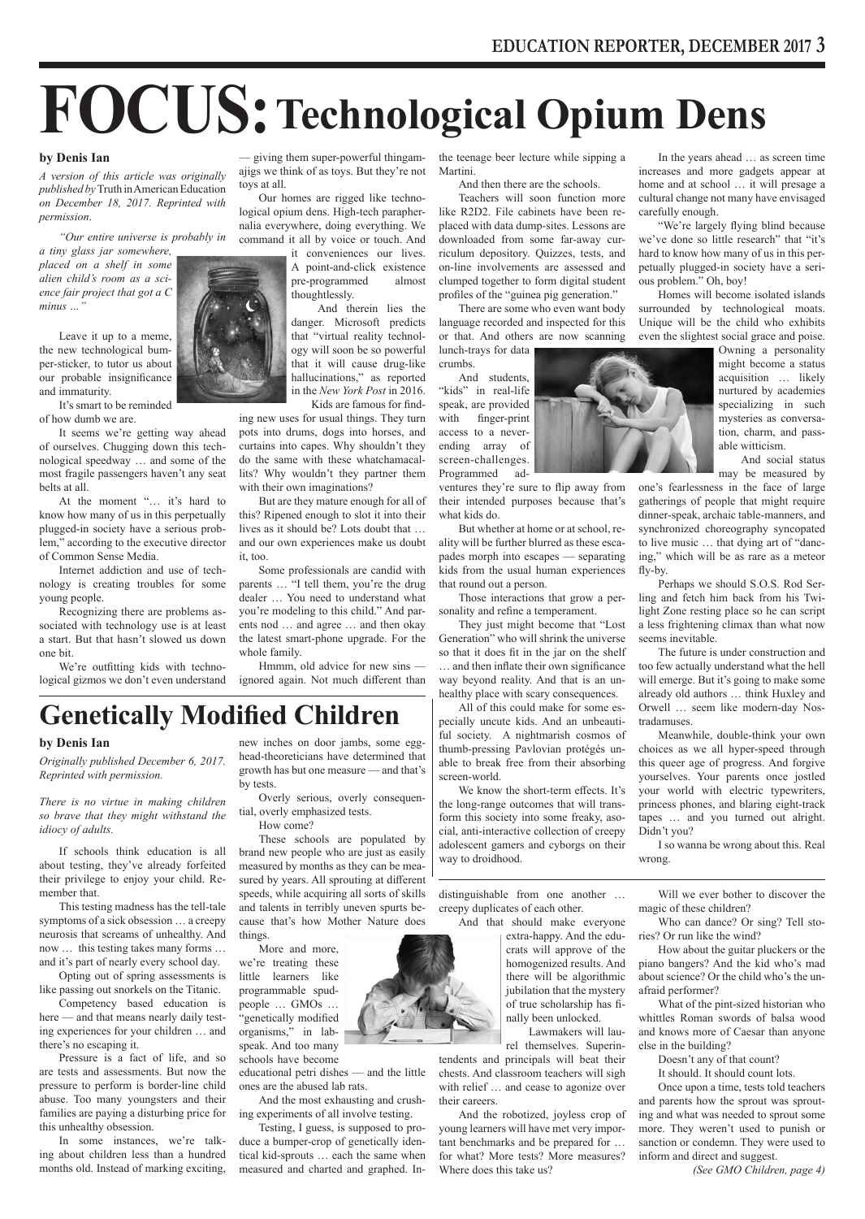# **FOCUS:Technological Opium Dens**

### **by Denis Ian**

*A version of this article was originally published by* Truth in American Education *on December 18, 2017. Reprinted with permission*.

*"Our entire universe is probably in* 

*a tiny glass jar somewhere, placed on a shelf in some alien child's room as a science fair project that got a C minus …"*

Leave it up to a meme, the new technological bumper-sticker, to tutor us about our probable insignificance and immaturity.

It's smart to be reminded of how dumb we are.

It seems we're getting way ahead of ourselves. Chugging down this technological speedway … and some of the most fragile passengers haven't any seat belts at all.

At the moment "… it's hard to know how many of us in this perpetually plugged-in society have a serious problem," according to the executive director of Common Sense Media.

Internet addiction and use of technology is creating troubles for some young people.

Recognizing there are problems associated with technology use is at least a start. But that hasn't slowed us down one bit.

We're outfitting kids with technological gizmos we don't even understand



— giving them super-powerful thingamajigs we think of as toys. But they're not toys at all.

Our homes are rigged like technological opium dens. High-tech paraphernalia everywhere, doing everything. We command it all by voice or touch. And

> it conveniences our lives. A point-and-click existence pre-programmed almost thoughtlessly.

And therein lies the danger. Microsoft predicts that "virtual reality technology will soon be so powerful that it will cause drug-like hallucinations," as reported in the *New York Post* in 2016.

 Kids are famous for finding new uses for usual things. They turn pots into drums, dogs into horses, and curtains into capes. Why shouldn't they do the same with these whatchamacallits? Why wouldn't they partner them with their own imaginations?

But are they mature enough for all of this? Ripened enough to slot it into their lives as it should be? Lots doubt that … and our own experiences make us doubt it, too.

Some professionals are candid with parents … "I tell them, you're the drug dealer … You need to understand what you're modeling to this child." And parents nod … and agree … and then okay the latest smart-phone upgrade. For the whole family.

Hmmm, old advice for new sins ignored again. Not much different than

# **Genetically Modified Children**

### **by Denis Ian**

*Originally published December 6, 2017. Reprinted with permission.*

*There is no virtue in making children so brave that they might withstand the idiocy of adults.*

If schools think education is all about testing, they've already forfeited their privilege to enjoy your child. Remember that.

This testing madness has the tell-tale symptoms of a sick obsession … a creepy neurosis that screams of unhealthy. And now … this testing takes many forms … and it's part of nearly every school day.

Opting out of spring assessments is like passing out snorkels on the Titanic.

Competency based education is here — and that means nearly daily testing experiences for your children … and there's no escaping it.

Pressure is a fact of life, and so are tests and assessments. But now the pressure to perform is border-line child abuse. Too many youngsters and their families are paying a disturbing price for this unhealthy obsession.

In some instances, we're talking about children less than a hundred months old. Instead of marking exciting, new inches on door jambs, some egghead-theoreticians have determined that growth has but one measure — and that's by tests.

Overly serious, overly consequential, overly emphasized tests.

How come?

These schools are populated by brand new people who are just as easily measured by months as they can be measured by years. All sprouting at different speeds, while acquiring all sorts of skills and talents in terribly uneven spurts because that's how Mother Nature does things.

More and more, we're treating these little learners like programmable spudpeople … GMOs … "genetically modified organisms," in labspeak. And too many schools have become

educational petri dishes — and the little ones are the abused lab rats.

And the most exhausting and crushing experiments of all involve testing.

Testing, I guess, is supposed to produce a bumper-crop of genetically identical kid-sprouts … each the same when measured and charted and graphed. Inthe teenage beer lecture while sipping a Martini.

And then there are the schools. Teachers will soon function more

like R2D2. File cabinets have been replaced with data dump-sites. Lessons are downloaded from some far-away curriculum depository. Quizzes, tests, and on-line involvements are assessed and clumped together to form digital student profiles of the "guinea pig generation."

There are some who even want body language recorded and inspected for this or that. And others are now scanning lunch-trays for data

crumbs. And students,

"kids" in real-life speak, are provided with finger-print access to a neverending array of screen-challenges. Programmed ad-

ventures they're sure to flip away from their intended purposes because that's what kids do.

But whether at home or at school, reality will be further blurred as these escapades morph into escapes — separating kids from the usual human experiences that round out a person.

Those interactions that grow a personality and refine a temperament.

They just might become that "Lost Generation" who will shrink the universe so that it does fit in the jar on the shelf … and then inflate their own significance way beyond reality. And that is an unhealthy place with scary consequences.

All of this could make for some especially uncute kids. And an unbeautiful society. A nightmarish cosmos of thumb-pressing Pavlovian protégés unable to break free from their absorbing screen-world.

We know the short-term effects. It's the long-range outcomes that will transform this society into some freaky, asocial, anti-interactive collection of creepy adolescent gamers and cyborgs on their way to droidhood.

distinguishable from one another … creepy duplicates of each other.

And that should make everyone

extra-happy. And the educrats will approve of the homogenized results. And there will be algorithmic jubilation that the mystery of true scholarship has finally been unlocked.

 Lawmakers will laurel themselves. Superin-

tendents and principals will beat their chests. And classroom teachers will sigh with relief ... and cease to agonize over their careers.

And the robotized, joyless crop of young learners will have met very important benchmarks and be prepared for … for what? More tests? More measures? Where does this take us?

In the years ahead … as screen time increases and more gadgets appear at home and at school … it will presage a cultural change not many have envisaged carefully enough.

"We're largely flying blind because we've done so little research" that "it's hard to know how many of us in this perpetually plugged-in society have a serious problem." Oh, boy!

Homes will become isolated islands surrounded by technological moats. Unique will be the child who exhibits even the slightest social grace and poise.

> Owning a personality might become a status acquisition … likely nurtured by academies specializing in such mysteries as conversation, charm, and passable witticism.

> And social status may be measured by

one's fearlessness in the face of large gatherings of people that might require dinner-speak, archaic table-manners, and synchronized choreography syncopated to live music … that dying art of "dancing," which will be as rare as a meteor fly-by.

Perhaps we should S.O.S. Rod Serling and fetch him back from his Twilight Zone resting place so he can script a less frightening climax than what now seems inevitable.

The future is under construction and too few actually understand what the hell will emerge. But it's going to make some already old authors … think Huxley and Orwell … seem like modern-day Nostradamuses.

Meanwhile, double-think your own choices as we all hyper-speed through this queer age of progress. And forgive yourselves. Your parents once jostled your world with electric typewriters, princess phones, and blaring eight-track tapes … and you turned out alright. Didn't you?

I so wanna be wrong about this. Real wrong.

Will we ever bother to discover the magic of these children?

Who can dance? Or sing? Tell stories? Or run like the wind?

How about the guitar pluckers or the piano bangers? And the kid who's mad about science? Or the child who's the unafraid performer?

What of the pint-sized historian who whittles Roman swords of balsa wood and knows more of Caesar than anyone else in the building?

Doesn't any of that count?

It should. It should count lots.

Once upon a time, tests told teachers and parents how the sprout was sprouting and what was needed to sprout some more. They weren't used to punish or sanction or condemn. They were used to inform and direct and suggest.

*(See GMO Children, page 4)*